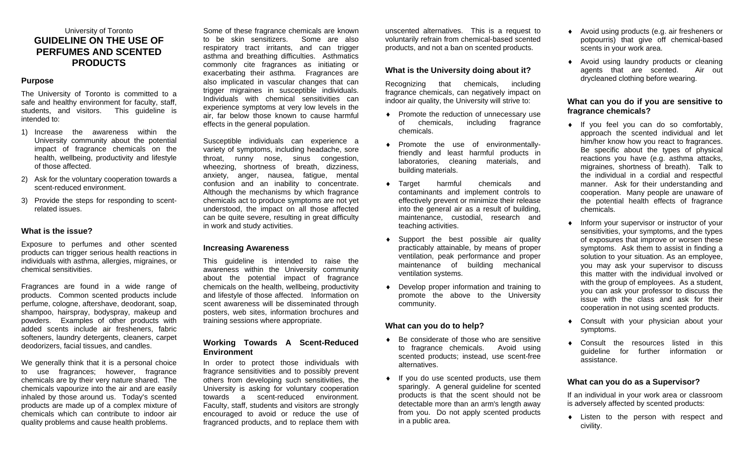# University of Toronto **GUIDELINE ON THE USE OF PERFUMES AND SCENTED PRODUCTS**

### **Purpose**

The University of Toronto is committed to a safe and healthy environment for faculty, staff, students, and visitors. This guideline is intended to:

- 1) Increase the awareness within the University community about the potential impact of fragrance chemicals on the health, wellbeing, productivity and lifestyle of those affected.
- 2) Ask for the voluntary cooperation towards a scent-reduced environment.
- 3) Provide the steps for responding to scentrelated issues.

### **What is the issue?**

Exposure to perfumes and other scented products can trigger serious health reactions in individuals with asthma, allergies, migraines, or chemical sensitivities.

Fragrances are found in a wide range of products. Common scented products include perfume, cologne, aftershave, deodorant, soap, shampoo, hairspray, bodyspray, makeup and powders. Examples of other products with added scents include air fresheners, fabric softeners, laundry detergents, cleaners, carpet deodorizers, facial tissues, and candles.

We generally think that it is a personal choice to use fragrances; however, fragrance chemicals are by their very nature shared. The chemicals vapourize into the air and are easily inhaled by those around us. Today's scented products are made up of a complex mixture of chemicals which can contribute to indoor air quality problems and cause health problems.

Some of these fragrance chemicals are known to be skin sensitizers. Some are also respiratory tract irritants, and can trigger asthma and breathing difficulties. Asthmatics commonly cite fragrances as initiating or exacerbating their asthma. Fragrances are also implicated in vascular changes that can trigger migraines in susceptible individuals. Individuals with chemical sensitivities can experience symptoms at very low levels in the air, far below those known to cause harmful effects in the general population.

Susceptible individuals can experience a variety of symptoms, including headache, sore throat, runny nose, sinus congestion, wheezing, shortness of breath, dizziness, anxiety, anger, nausea, fatigue, mental confusion and an inability to concentrate. Although the mechanisms by which fragrance chemicals act to produce symptoms are not yet understood, the impact on all those affected can be quite severe, resulting in great difficulty in work and study activities.

### **Increasing Awareness**

This guideline is intended to raise the awareness within the University community about the potential impact of fragrance chemicals on the health, wellbeing, productivity and lifestyle of those affected. Information on scent awareness will be disseminated through posters, web sites, information brochures and training sessions where appropriate.

### **Working Towards A Scent-Reduced Environment**

In order to protect those individuals with fragrance sensitivities and to possibly prevent others from developing such sensitivities, the University is asking for voluntary cooperation towards a scent-reduced environment. Faculty, staff, students and visitors are strongly encouraged to avoid or reduce the use of fragranced products, and to replace them with unscented alternatives. This is a request to voluntarily refrain from chemical-based scented products, and not a ban on scented products.

## **What is the University doing about it?**

Recognizing that chemicals, including fragrance chemicals, can negatively impact on indoor air quality, the University will strive to:

- ♦ Promote the reduction of unnecessary use of chemicals, including fragrance chemicals.
- ♦ Promote the use of environmentallyfriendly and least harmful products in laboratories, cleaning materials, and building materials.
- ♦ Target harmful chemicals and contaminants and implement controls to effectively prevent or minimize their release into the general air as a result of building, maintenance, custodial, research and teaching activities.
- ♦ Support the best possible air quality practicably attainable, by means of proper ventilation, peak performance and proper maintenance of building mechanical ventilation systems.
- ♦ Develop proper information and training to promote the above to the University community.

### **What can you do to help?**

- ♦ Be considerate of those who are sensitive to fragrance chemicals. Avoid using scented products; instead, use scent-free alternatives.
- ♦ If you do use scented products, use them sparingly. A general guideline for scented products is that the scent should not be detectable more than an arm's length away from you. Do not apply scented products in a public area.
- ♦ Avoid using products (e.g. air fresheners or potpourris) that give off chemical-based scents in your work area.
- ♦ Avoid using laundry products or cleaning agents that are scented. Air out drycleaned clothing before wearing.

## **What can you do if you are sensitive to fragrance chemicals?**

- ♦ If you feel you can do so comfortably, approach the scented individual and let him/her know how you react to fragrances. Be specific about the types of physical reactions you have (e.g. asthma attacks, migraines, shortness of breath). Talk to the individual in a cordial and respectful manner. Ask for their understanding and cooperation. Many people are unaware of the potential health effects of fragrance chemicals.
- Inform your supervisor or instructor of your sensitivities, your symptoms, and the types of exposures that improve or worsen these symptoms. Ask them to assist in finding a solution to your situation. As an employee, you may ask your supervisor to discuss this matter with the individual involved or with the group of employees. As a student, you can ask your professor to discuss the issue with the class and ask for their cooperation in not using scented products.
- ♦ Consult with your physician about your symptoms.
- ♦ Consult the resources listed in this guideline for further information or assistance.

### **What can you do as a Supervisor?**

If an individual in your work area or classroom is adversely affected by scented products:

♦ Listen to the person with respect and civility.